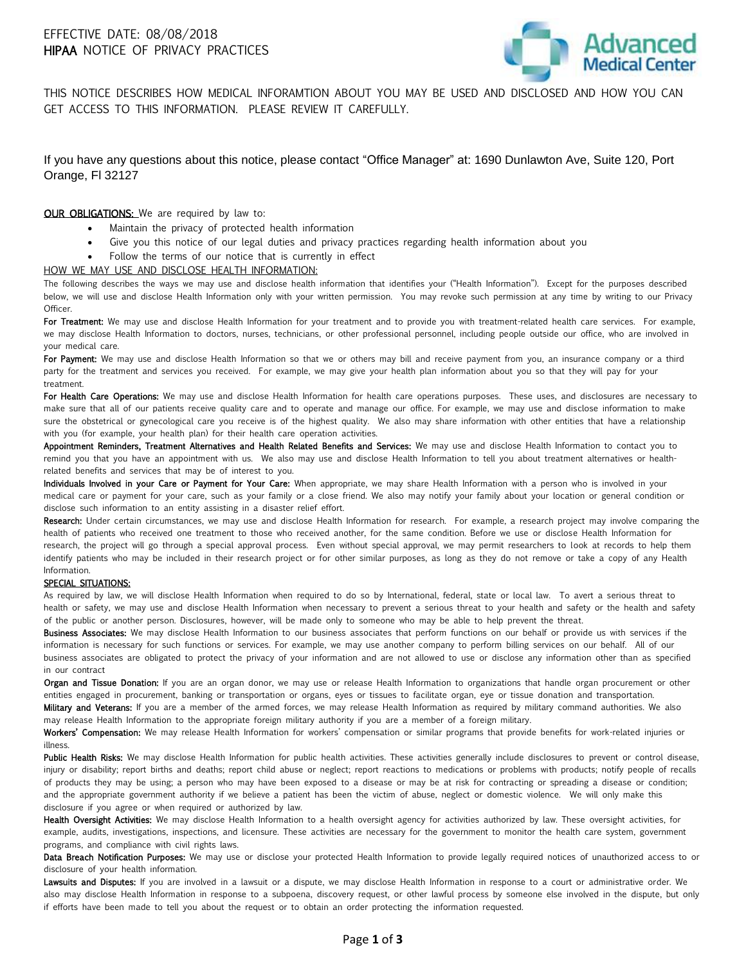# EFFECTIVE DATE: 08/08/2018 HIPAA NOTICE OF PRIVACY PRACTICES



THIS NOTICE DESCRIBES HOW MEDICAL INFORAMTION ABOUT YOU MAY BE USED AND DISCLOSED AND HOW YOU CAN GET ACCESS TO THIS INFORMATION. PLEASE REVIEW IT CAREFULLY.

## If you have any questions about this notice, please contact "Office Manager" at: 1690 Dunlawton Ave, Suite 120, Port Orange, Fl 32127

### **OUR OBLIGATIONS:** We are required by law to:

- Maintain the privacy of protected health information
- Give you this notice of our legal duties and privacy practices regarding health information about you
- Follow the terms of our notice that is currently in effect

#### HOW WE MAY USE AND DISCLOSE HEALTH INFORMATION:

The following describes the ways we may use and disclose health information that identifies your ("Health Information"). Except for the purposes described below, we will use and disclose Health Information only with your written permission. You may revoke such permission at any time by writing to our Privacy **Officer** 

For Treatment: We may use and disclose Health Information for your treatment and to provide you with treatment-related health care services. For example, we may disclose Health Information to doctors, nurses, technicians, or other professional personnel, including people outside our office, who are involved in your medical care.

For Payment: We may use and disclose Health Information so that we or others may bill and receive payment from you, an insurance company or a third party for the treatment and services you received. For example, we may give your health plan information about you so that they will pay for your treatment.

For Health Care Operations: We may use and disclose Health Information for health care operations purposes. These uses, and disclosures are necessary to make sure that all of our patients receive quality care and to operate and manage our office. For example, we may use and disclose information to make sure the obstetrical or gynecological care you receive is of the highest quality. We also may share information with other entities that have a relationship with you (for example, your health plan) for their health care operation activities.

Appointment Reminders, Treatment Alternatives and Health Related Benefits and Services: We may use and disclose Health Information to contact you to remind you that you have an appointment with us. We also may use and disclose Health Information to tell you about treatment alternatives or healthrelated benefits and services that may be of interest to you.

Individuals Involved in your Care or Payment for Your Care: When appropriate, we may share Health Information with a person who is involved in your medical care or payment for your care, such as your family or a close friend. We also may notify your family about your location or general condition or disclose such information to an entity assisting in a disaster relief effort.

Research: Under certain circumstances, we may use and disclose Health Information for research. For example, a research project may involve comparing the health of patients who received one treatment to those who received another, for the same condition. Before we use or disclose Health Information for research, the project will go through a special approval process. Even without special approval, we may permit researchers to look at records to help them identify patients who may be included in their research project or for other similar purposes, as long as they do not remove or take a copy of any Health Information.

#### SPECIAL SITUATIONS:

As required by law, we will disclose Health Information when required to do so by International, federal, state or local law. To avert a serious threat to health or safety, we may use and disclose Health Information when necessary to prevent a serious threat to your health and safety or the health and safety of the public or another person. Disclosures, however, will be made only to someone who may be able to help prevent the threat.

Business Associates: We may disclose Health Information to our business associates that perform functions on our behalf or provide us with services if the information is necessary for such functions or services. For example, we may use another company to perform billing services on our behalf. All of our business associates are obligated to protect the privacy of your information and are not allowed to use or disclose any information other than as specified in our contract

Organ and Tissue Donation: If you are an organ donor, we may use or release Health Information to organizations that handle organ procurement or other entities engaged in procurement, banking or transportation or organs, eyes or tissues to facilitate organ, eye or tissue donation and transportation. Military and Veterans: If you are a member of the armed forces, we may release Health Information as required by military command authorities. We also

may release Health Information to the appropriate foreign military authority if you are a member of a foreign military.

Workers' Compensation: We may release Health Information for workers' compensation or similar programs that provide benefits for work-related injuries or illness.

Public Health Risks: We may disclose Health Information for public health activities. These activities generally include disclosures to prevent or control disease, injury or disability; report births and deaths; report child abuse or neglect; report reactions to medications or problems with products; notify people of recalls of products they may be using; a person who may have been exposed to a disease or may be at risk for contracting or spreading a disease or condition; and the appropriate government authority if we believe a patient has been the victim of abuse, neglect or domestic violence. We will only make this disclosure if you agree or when required or authorized by law.

Health Oversight Activities: We may disclose Health Information to a health oversight agency for activities authorized by law. These oversight activities, for example, audits, investigations, inspections, and licensure. These activities are necessary for the government to monitor the health care system, government programs, and compliance with civil rights laws.

Data Breach Notification Purposes: We may use or disclose your protected Health Information to provide legally required notices of unauthorized access to or disclosure of your health information.

Lawsuits and Disputes: If you are involved in a lawsuit or a dispute, we may disclose Health Information in response to a court or administrative order. We also may disclose Health Information in response to a subpoena, discovery request, or other lawful process by someone else involved in the dispute, but only if efforts have been made to tell you about the request or to obtain an order protecting the information requested.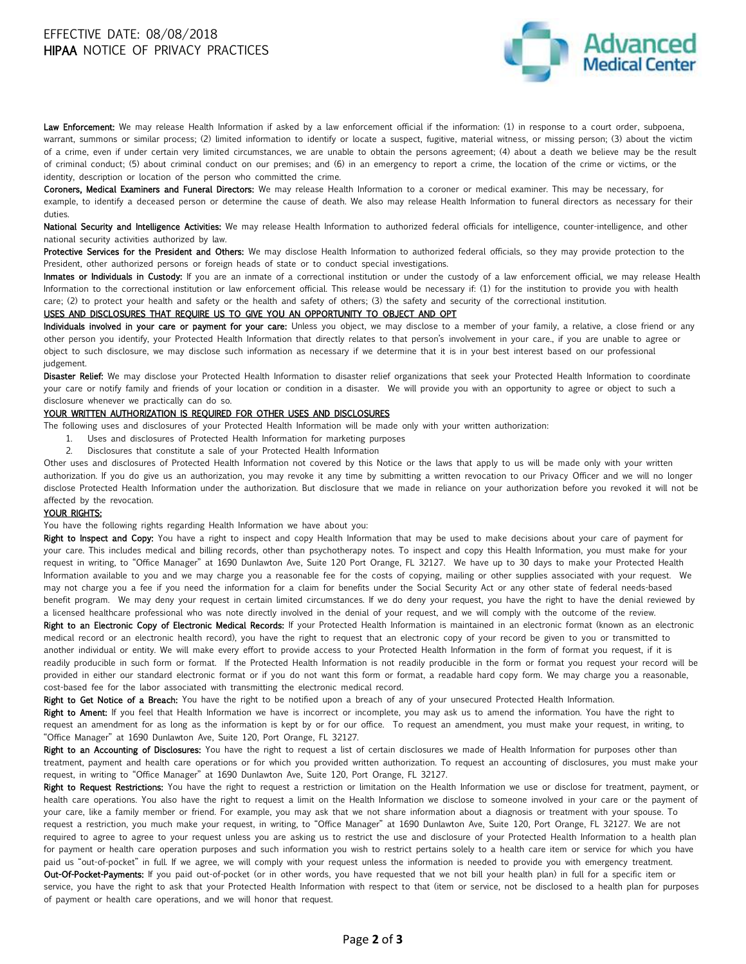# EFFECTIVE DATE: 08/08/2018 HIPAA NOTICE OF PRIVACY PRACTICES



Law Enforcement: We may release Health Information if asked by a law enforcement official if the information: (1) in response to a court order, subpoena, warrant, summons or similar process; (2) limited information to identify or locate a suspect, fugitive, material witness, or missing person; (3) about the victim of a crime, even if under certain very limited circumstances, we are unable to obtain the persons agreement; (4) about a death we believe may be the result of criminal conduct; (5) about criminal conduct on our premises; and (6) in an emergency to report a crime, the location of the crime or victims, or the identity, description or location of the person who committed the crime.

Coroners, Medical Examiners and Funeral Directors: We may release Health Information to a coroner or medical examiner. This may be necessary, for example, to identify a deceased person or determine the cause of death. We also may release Health Information to funeral directors as necessary for their duties.

National Security and Intelligence Activities: We may release Health Information to authorized federal officials for intelligence, counter-intelligence, and other national security activities authorized by law.

Protective Services for the President and Others: We may disclose Health Information to authorized federal officials, so they may provide protection to the President, other authorized persons or foreign heads of state or to conduct special investigations.

Inmates or Individuals in Custody: If you are an inmate of a correctional institution or under the custody of a law enforcement official, we may release Health Information to the correctional institution or law enforcement official. This release would be necessary if: (1) for the institution to provide you with health care; (2) to protect your health and safety or the health and safety of others; (3) the safety and security of the correctional institution.

USES AND DISCLOSURES THAT REQUIRE US TO GIVE YOU AN OPPORTUNITY TO OBJECT AND OPT

Individuals involved in your care or payment for your care: Unless you object, we may disclose to a member of your family, a relative, a close friend or any other person you identify, your Protected Health Information that directly relates to that person's involvement in your care., if you are unable to agree or object to such disclosure, we may disclose such information as necessary if we determine that it is in your best interest based on our professional judgement.

Disaster Relief: We may disclose your Protected Health Information to disaster relief organizations that seek your Protected Health Information to coordinate your care or notify family and friends of your location or condition in a disaster. We will provide you with an opportunity to agree or object to such a disclosure whenever we practically can do so.

### YOUR WRITTEN AUTHORIZATION IS REQUIRED FOR OTHER USES AND DISCLOSURES

The following uses and disclosures of your Protected Health Information will be made only with your written authorization:

- 1. Uses and disclosures of Protected Health Information for marketing purposes
- 2. Disclosures that constitute a sale of your Protected Health Information

Other uses and disclosures of Protected Health Information not covered by this Notice or the laws that apply to us will be made only with your written authorization. If you do give us an authorization, you may revoke it any time by submitting a written revocation to our Privacy Officer and we will no longer disclose Protected Health Information under the authorization. But disclosure that we made in reliance on your authorization before you revoked it will not be affected by the revocation.

#### YOUR RIGHTS.

You have the following rights regarding Health Information we have about you:

Right to Inspect and Copy: You have a right to inspect and copy Health Information that may be used to make decisions about your care of payment for your care. This includes medical and billing records, other than psychotherapy notes. To inspect and copy this Health Information, you must make for your request in writing, to "Office Manager" at 1690 Dunlawton Ave, Suite 120 Port Orange, FL 32127. We have up to 30 days to make your Protected Health Information available to you and we may charge you a reasonable fee for the costs of copying, mailing or other supplies associated with your request. We may not charge you a fee if you need the information for a claim for benefits under the Social Security Act or any other state of federal needs-based benefit program. We may deny your request in certain limited circumstances. If we do deny your request, you have the right to have the denial reviewed by a licensed healthcare professional who was note directly involved in the denial of your request, and we will comply with the outcome of the review. Right to an Electronic Copy of Electronic Medical Records: If your Protected Health Information is maintained in an electronic format (known as an electronic medical record or an electronic health record), you have the right to request that an electronic copy of your record be given to you or transmitted to

another individual or entity. We will make every effort to provide access to your Protected Health Information in the form of format you request, if it is readily producible in such form or format. If the Protected Health Information is not readily producible in the form or format you request your record will be provided in either our standard electronic format or if you do not want this form or format, a readable hard copy form. We may charge you a reasonable, cost-based fee for the labor associated with transmitting the electronic medical record.

Right to Get Notice of a Breach: You have the right to be notified upon a breach of any of your unsecured Protected Health Information.

Right to Ament: If you feel that Health Information we have is incorrect or incomplete, you may ask us to amend the information. You have the right to request an amendment for as long as the information is kept by or for our office. To request an amendment, you must make your request, in writing, to "Office Manager" at 1690 Dunlawton Ave, Suite 120, Port Orange, FL 32127.

Right to an Accounting of Disclosures: You have the right to request a list of certain disclosures we made of Health Information for purposes other than treatment, payment and health care operations or for which you provided written authorization. To request an accounting of disclosures, you must make your request, in writing to "Office Manager" at 1690 Dunlawton Ave, Suite 120, Port Orange, FL 32127.

Right to Request Restrictions: You have the right to request a restriction or limitation on the Health Information we use or disclose for treatment, payment, or health care operations. You also have the right to request a limit on the Health Information we disclose to someone involved in your care or the payment of your care, like a family member or friend. For example, you may ask that we not share information about a diagnosis or treatment with your spouse. To request a restriction, you much make your request, in writing, to "Office Manager" at 1690 Dunlawton Ave, Suite 120, Port Orange, FL 32127. We are not required to agree to agree to your request unless you are asking us to restrict the use and disclosure of your Protected Health Information to a health plan for payment or health care operation purposes and such information you wish to restrict pertains solely to a health care item or service for which you have paid us "out-of-pocket" in full. If we agree, we will comply with your request unless the information is needed to provide you with emergency treatment. Out-Of-Pocket-Payments: If you paid out-of-pocket (or in other words, you have requested that we not bill your health plan) in full for a specific item or

service, you have the right to ask that your Protected Health Information with respect to that (item or service, not be disclosed to a health plan for purposes of payment or health care operations, and we will honor that request.